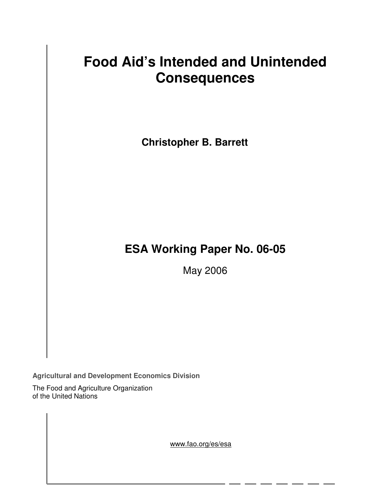# **Food Aid's Intended and Unintended Consequences**

**Christopher B. Barrett** 

# **ESA Working Paper No. 06-05**

May 2006

**Agricultural and Development Economics Division**

The Food and Agriculture Organization of the United Nations

www.fao.org/es/esa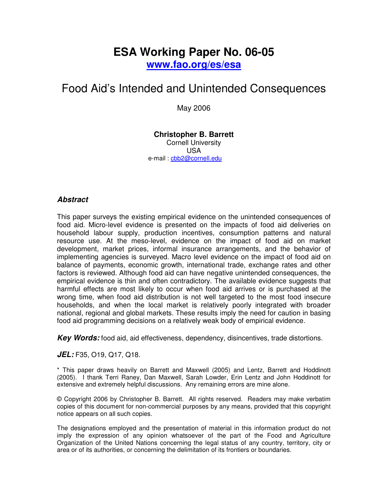# **ESA Working Paper No. 06-05**

**www.fao.org/es/esa**

# Food Aid's Intended and Unintended Consequences

May 2006

### **Christopher B. Barrett**  Cornell University USA e-mail : cbb2@cornell.edu

# **Abstract**

This paper surveys the existing empirical evidence on the unintended consequences of food aid. Micro-level evidence is presented on the impacts of food aid deliveries on household labour supply, production incentives, consumption patterns and natural resource use. At the meso-level, evidence on the impact of food aid on market development, market prices, informal insurance arrangements, and the behavior of implementing agencies is surveyed. Macro level evidence on the impact of food aid on balance of payments, economic growth, international trade, exchange rates and other factors is reviewed. Although food aid can have negative unintended consequences, the empirical evidence is thin and often contradictory. The available evidence suggests that harmful effects are most likely to occur when food aid arrives or is purchased at the wrong time, when food aid distribution is not well targeted to the most food insecure households, and when the local market is relatively poorly integrated with broader national, regional and global markets. These results imply the need for caution in basing food aid programming decisions on a relatively weak body of empirical evidence.

**Key Words:** food aid, aid effectiveness, dependency, disincentives, trade distortions.

**JEL:** F35, O19, Q17, Q18.

\* This paper draws heavily on Barrett and Maxwell (2005) and Lentz, Barrett and Hoddinott (2005). I thank Terri Raney, Dan Maxwell, Sarah Lowder, Erin Lentz and John Hoddinott for extensive and extremely helpful discussions. Any remaining errors are mine alone.

© Copyright 2006 by Christopher B. Barrett. All rights reserved. Readers may make verbatim copies of this document for non-commercial purposes by any means, provided that this copyright notice appears on all such copies.

The designations employed and the presentation of material in this information product do not imply the expression of any opinion whatsoever of the part of the Food and Agriculture Organization of the United Nations concerning the legal status of any country, territory, city or area or of its authorities, or concerning the delimitation of its frontiers or boundaries.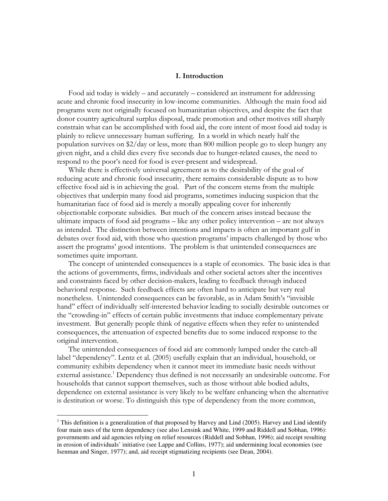#### I. Introduction

Food aid today is widely – and accurately – considered an instrument for addressing acute and chronic food insecurity in low-income communities. Although the main food aid programs were not originally focused on humanitarian objectives, and despite the fact that donor country agricultural surplus disposal, trade promotion and other motives still sharply constrain what can be accomplished with food aid, the core intent of most food aid today is plainly to relieve unnecessary human suffering. In a world in which nearly half the population survives on \$2/day or less, more than 800 million people go to sleep hungry any given night, and a child dies every five seconds due to hunger-related causes, the need to respond to the poor's need for food is ever-present and widespread.

While there is effectively universal agreement as to the desirability of the goal of reducing acute and chronic food insecurity, there remains considerable dispute as to how effective food aid is in achieving the goal. Part of the concern stems from the multiple objectives that underpin many food aid programs, sometimes inducing suspicion that the humanitarian face of food aid is merely a morally appealing cover for inherently objectionable corporate subsidies. But much of the concern arises instead because the ultimate impacts of food aid programs – like any other policy intervention – are not always as intended. The distinction between intentions and impacts is often an important gulf in debates over food aid, with those who question programs' impacts challenged by those who assert the programs' good intentions. The problem is that unintended consequences are sometimes quite important.

The concept of unintended consequences is a staple of economics. The basic idea is that the actions of governments, firms, individuals and other societal actors alter the incentives and constraints faced by other decision-makers, leading to feedback through induced behavioral response. Such feedback effects are often hard to anticipate but very real nonetheless. Unintended consequences can be favorable, as in Adam Smith's "invisible hand" effect of individually self-interested behavior leading to socially desirable outcomes or the "crowding-in" effects of certain public investments that induce complementary private investment. But generally people think of negative effects when they refer to unintended consequences, the attenuation of expected benefits due to some induced response to the original intervention.

The unintended consequences of food aid are commonly lumped under the catch-all label "dependency". Lentz et al. (2005) usefully explain that an individual, household, or community exhibits dependency when it cannot meet its immediate basic needs without external assistance.<sup>1</sup> Dependency thus defined is not necessarily an undesirable outcome. For households that cannot support themselves, such as those without able bodied adults, dependence on external assistance is very likely to be welfare enhancing when the alternative is destitution or worse. To distinguish this type of dependency from the more common,

-

<sup>&</sup>lt;sup>1</sup> This definition is a generalization of that proposed by Harvey and Lind (2005). Harvey and Lind identify four main uses of the term dependency (see also Lensink and White, 1999 and Riddell and Sobhan, 1996): governments and aid agencies relying on relief resources (Riddell and Sobhan, 1996); aid receipt resulting in erosion of individuals' initiative (see Lappe and Collins, 1977); aid undermining local economies (see Isenman and Singer, 1977); and, aid receipt stigmatizing recipients (see Dean, 2004).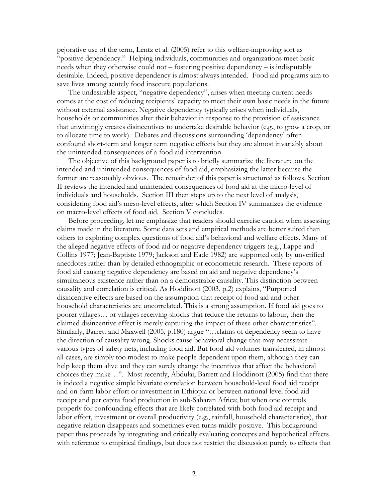pejorative use of the term, Lentz et al. (2005) refer to this welfare-improving sort as "positive dependency." Helping individuals, communities and organizations meet basic needs when they otherwise could not – fostering positive dependency – is indisputably desirable. Indeed, positive dependency is almost always intended. Food aid programs aim to save lives among acutely food insecure populations.

The undesirable aspect, "negative dependency", arises when meeting current needs comes at the cost of reducing recipients' capacity to meet their own basic needs in the future without external assistance. Negative dependency typically arises when individuals, households or communities alter their behavior in response to the provision of assistance that unwittingly creates disincentives to undertake desirable behavior (e.g., to grow a crop, or to allocate time to work). Debates and discussions surrounding 'dependency' often confound short-term and longer term negative effects but they are almost invariably about the unintended consequences of a food aid intervention.

The objective of this background paper is to briefly summarize the literature on the intended and unintended consequences of food aid, emphasizing the latter because the former are reasonably obvious. The remainder of this paper is structured as follows. Section II reviews the intended and unintended consequences of food aid at the micro-level of individuals and households. Section III then steps up to the next level of analysis, considering food aid's meso-level effects, after which Section IV summarizes the evidence on macro-level effects of food aid. Section V concludes.

Before proceeding, let me emphasize that readers should exercise caution when assessing claims made in the literature. Some data sets and empirical methods are better suited than others to exploring complex questions of food aid's behavioral and welfare effects. Many of the alleged negative effects of food aid or negative dependency triggers (e.g., Lappe and Collins 1977; Jean-Baptiste 1979; Jackson and Eade 1982) are supported only by unverified anecdotes rather than by detailed ethnographic or econometric research. These reports of food aid causing negative dependency are based on aid and negative dependency's simultaneous existence rather than on a demonstrable causality. This distinction between causality and correlation is critical. As Hoddinott (2003, p.2) explains, "Purported disincentive effects are based on the assumption that receipt of food aid and other household characteristics are uncorrelated. This is a strong assumption. If food aid goes to poorer villages… or villages receiving shocks that reduce the returns to labour, then the claimed disincentive effect is merely capturing the impact of these other characteristics". Similarly, Barrett and Maxwell (2005, p.180) argue "…claims of dependency seem to have the direction of causality wrong. Shocks cause behavioral change that may necessitate various types of safety nets, including food aid. But food aid volumes transferred, in almost all cases, are simply too modest to make people dependent upon them, although they can help keep them alive and they can surely change the incentives that affect the behavioral choices they make…". Most recently, Abdulai, Barrett and Hoddinott (2005) find that there is indeed a negative simple bivariate correlation between household-level food aid receipt and on-farm labor effort or investment in Ethiopia or between national-level food aid receipt and per capita food production in sub-Saharan Africa; but when one controls properly for confounding effects that are likely correlated with both food aid receipt and labor effort, investment or overall productivity (e.g., rainfall, household characteristics), that negative relation disappears and sometimes even turns mildly positive. This background paper thus proceeds by integrating and critically evaluating concepts and hypothetical effects with reference to empirical findings, but does not restrict the discussion purely to effects that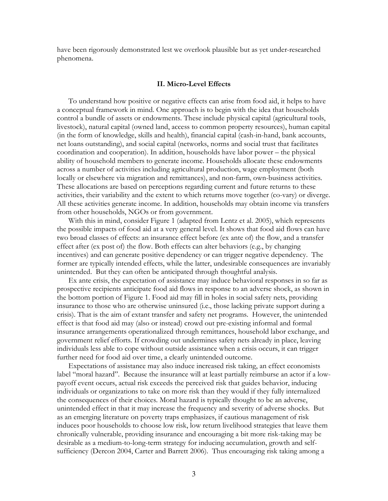have been rigorously demonstrated lest we overlook plausible but as yet under-researched phenomena.

#### II. Micro-Level Effects

To understand how positive or negative effects can arise from food aid, it helps to have a conceptual framework in mind. One approach is to begin with the idea that households control a bundle of assets or endowments. These include physical capital (agricultural tools, livestock), natural capital (owned land, access to common property resources), human capital (in the form of knowledge, skills and health), financial capital (cash-in-hand, bank accounts, net loans outstanding), and social capital (networks, norms and social trust that facilitates coordination and cooperation). In addition, households have labor power – the physical ability of household members to generate income. Households allocate these endowments across a number of activities including agricultural production, wage employment (both locally or elsewhere via migration and remittances), and non-farm, own-business activities. These allocations are based on perceptions regarding current and future returns to these activities, their variability and the extent to which returns move together (co-vary) or diverge. All these activities generate income. In addition, households may obtain income via transfers from other households, NGOs or from government.

With this in mind, consider Figure 1 (adapted from Lentz et al. 2005), which represents the possible impacts of food aid at a very general level. It shows that food aid flows can have two broad classes of effects: an insurance effect before (ex ante of) the flow, and a transfer effect after (ex post of) the flow. Both effects can alter behaviors (e.g., by changing incentives) and can generate positive dependency or can trigger negative dependency. The former are typically intended effects, while the latter, undesirable consequences are invariably unintended. But they can often be anticipated through thoughtful analysis.

Ex ante crisis, the expectation of assistance may induce behavioral responses in so far as prospective recipients anticipate food aid flows in response to an adverse shock, as shown in the bottom portion of Figure 1. Food aid may fill in holes in social safety nets, providing insurance to those who are otherwise uninsured (i.e., those lacking private support during a crisis). That is the aim of extant transfer and safety net programs. However, the unintended effect is that food aid may (also or instead) crowd out pre-existing informal and formal insurance arrangements operationalized through remittances, household labor exchange, and government relief efforts. If crowding out undermines safety nets already in place, leaving individuals less able to cope without outside assistance when a crisis occurs, it can trigger further need for food aid over time, a clearly unintended outcome.

Expectations of assistance may also induce increased risk taking, an effect economists label "moral hazard". Because the insurance will at least partially reimburse an actor if a lowpayoff event occurs, actual risk exceeds the perceived risk that guides behavior, inducing individuals or organizations to take on more risk than they would if they fully internalized the consequences of their choices. Moral hazard is typically thought to be an adverse, unintended effect in that it may increase the frequency and severity of adverse shocks. But as an emerging literature on poverty traps emphasizes, if cautious management of risk induces poor households to choose low risk, low return livelihood strategies that leave them chronically vulnerable, providing insurance and encouraging a bit more risk-taking may be desirable as a medium-to-long-term strategy for inducing accumulation, growth and selfsufficiency (Dercon 2004, Carter and Barrett 2006). Thus encouraging risk taking among a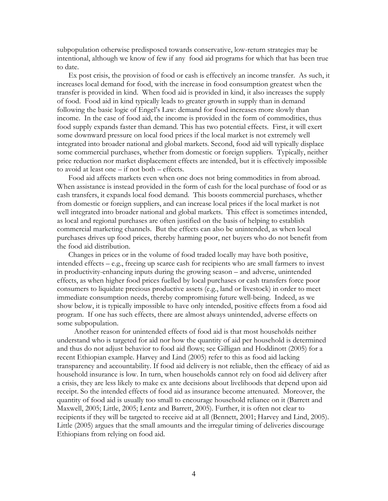subpopulation otherwise predisposed towards conservative, low-return strategies may be intentional, although we know of few if any food aid programs for which that has been true to date.

Ex post crisis, the provision of food or cash is effectively an income transfer. As such, it increases local demand for food, with the increase in food consumption greatest when the transfer is provided in kind. When food aid is provided in kind, it also increases the supply of food. Food aid in kind typically leads to greater growth in supply than in demand following the basic logic of Engel's Law: demand for food increases more slowly than income. In the case of food aid, the income is provided in the form of commodities, thus food supply expands faster than demand. This has two potential effects. First, it will exert some downward pressure on local food prices if the local market is not extremely well integrated into broader national and global markets. Second, food aid will typically displace some commercial purchases, whether from domestic or foreign suppliers. Typically, neither price reduction nor market displacement effects are intended, but it is effectively impossible to avoid at least one – if not both – effects.

Food aid affects markets even when one does not bring commodities in from abroad. When assistance is instead provided in the form of cash for the local purchase of food or as cash transfers, it expands local food demand. This boosts commercial purchases, whether from domestic or foreign suppliers, and can increase local prices if the local market is not well integrated into broader national and global markets. This effect is sometimes intended, as local and regional purchases are often justified on the basis of helping to establish commercial marketing channels. But the effects can also be unintended, as when local purchases drives up food prices, thereby harming poor, net buyers who do not benefit from the food aid distribution.

Changes in prices or in the volume of food traded locally may have both positive, intended effects – e.g., freeing up scarce cash for recipients who are small farmers to invest in productivity-enhancing inputs during the growing season – and adverse, unintended effects, as when higher food prices fuelled by local purchases or cash transfers force poor consumers to liquidate precious productive assets (e.g., land or livestock) in order to meet immediate consumption needs, thereby compromising future well-being. Indeed, as we show below, it is typically impossible to have only intended, positive effects from a food aid program. If one has such effects, there are almost always unintended, adverse effects on some subpopulation.

Another reason for unintended effects of food aid is that most households neither understand who is targeted for aid nor how the quantity of aid per household is determined and thus do not adjust behavior to food aid flows; see Gilligan and Hoddinott (2005) for a recent Ethiopian example. Harvey and Lind (2005) refer to this as food aid lacking transparency and accountability. If food aid delivery is not reliable, then the efficacy of aid as household insurance is low. In turn, when households cannot rely on food aid delivery after a crisis, they are less likely to make ex ante decisions about livelihoods that depend upon aid receipt. So the intended effects of food aid as insurance become attenuated. Moreover, the quantity of food aid is usually too small to encourage household reliance on it (Barrett and Maxwell, 2005; Little, 2005; Lentz and Barrett, 2005). Further, it is often not clear to recipients if they will be targeted to receive aid at all (Bennett, 2001; Harvey and Lind, 2005). Little (2005) argues that the small amounts and the irregular timing of deliveries discourage Ethiopians from relying on food aid.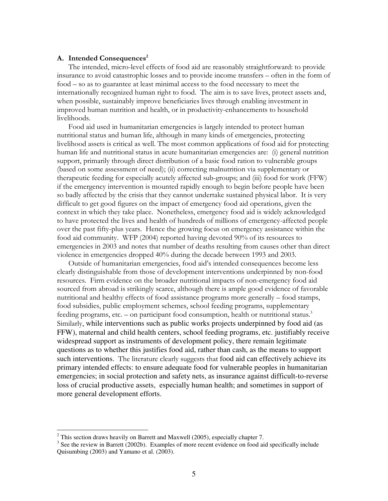#### A. Intended Consequences<sup>2</sup>

The intended, micro-level effects of food aid are reasonably straightforward: to provide insurance to avoid catastrophic losses and to provide income transfers – often in the form of food – so as to guarantee at least minimal access to the food necessary to meet the internationally recognized human right to food. The aim is to save lives, protect assets and, when possible, sustainably improve beneficiaries lives through enabling investment in improved human nutrition and health, or in productivity-enhancements to household livelihoods.

Food aid used in humanitarian emergencies is largely intended to protect human nutritional status and human life, although in many kinds of emergencies, protecting livelihood assets is critical as well. The most common applications of food aid for protecting human life and nutritional status in acute humanitarian emergencies are: (i) general nutrition support, primarily through direct distribution of a basic food ration to vulnerable groups (based on some assessment of need); (ii) correcting malnutrition via supplementary or therapeutic feeding for especially acutely affected sub-groups; and (iii) food for work (FFW) if the emergency intervention is mounted rapidly enough to begin before people have been so badly affected by the crisis that they cannot undertake sustained physical labor. It is very difficult to get good figures on the impact of emergency food aid operations, given the context in which they take place. Nonetheless, emergency food aid is widely acknowledged to have protected the lives and health of hundreds of millions of emergency-affected people over the past fifty-plus years. Hence the growing focus on emergency assistance within the food aid community. WFP (2004) reported having devoted 90% of its resources to emergencies in 2003 and notes that number of deaths resulting from causes other than direct violence in emergencies dropped 40% during the decade between 1993 and 2003.

Outside of humanitarian emergencies, food aid's intended consequences become less clearly distinguishable from those of development interventions underpinned by non-food resources. Firm evidence on the broader nutritional impacts of non-emergency food aid sourced from abroad is strikingly scarce, although there is ample good evidence of favorable nutritional and healthy effects of food assistance programs more generally – food stamps, food subsidies, public employment schemes, school feeding programs, supplementary feeding programs, etc. – on participant food consumption, health or nutritional status. $3$ Similarly, while interventions such as public works projects underpinned by food aid (as FFW), maternal and child health centers, school feeding programs, etc. justifiably receive widespread support as instruments of development policy, there remain legitimate questions as to whether this justifies food aid, rather than cash, as the means to support such interventions. The literature clearly suggests that food aid can effectively achieve its primary intended effects: to ensure adequate food for vulnerable peoples in humanitarian emergencies; in social protection and safety nets, as insurance against difficult-to-reverse loss of crucial productive assets, especially human health; and sometimes in support of more general development efforts.

<sup>&</sup>lt;sup>2</sup> This section draws heavily on Barrett and Maxwell (2005), especially chapter 7.

 $3$  See the review in Barrett (2002b). Examples of more recent evidence on food aid specifically include Quisumbing (2003) and Yamano et al. (2003).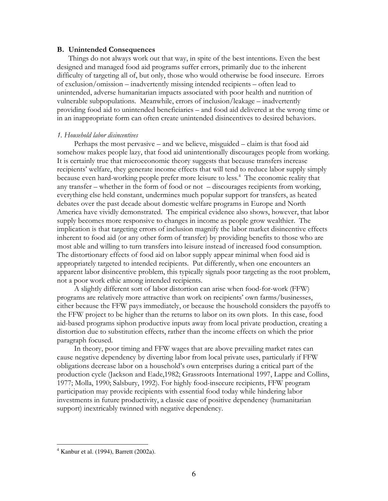#### B. Unintended Consequences

Things do not always work out that way, in spite of the best intentions. Even the best designed and managed food aid programs suffer errors, primarily due to the inherent difficulty of targeting all of, but only, those who would otherwise be food insecure. Errors of exclusion/omission – inadvertently missing intended recipients – often lead to unintended, adverse humanitarian impacts associated with poor health and nutrition of vulnerable subpopulations. Meanwhile, errors of inclusion/leakage – inadvertently providing food aid to unintended beneficiaries – and food aid delivered at the wrong time or in an inappropriate form can often create unintended disincentives to desired behaviors.

#### 1. Household labor disincentives

Perhaps the most pervasive – and we believe, misguided – claim is that food aid somehow makes people lazy, that food aid unintentionally discourages people from working. It is certainly true that microeconomic theory suggests that because transfers increase recipients' welfare, they generate income effects that will tend to reduce labor supply simply because even hard-working people prefer more leisure to less.<sup>4</sup> The economic reality that any transfer – whether in the form of food or not – discourages recipients from working, everything else held constant, undermines much popular support for transfers, as heated debates over the past decade about domestic welfare programs in Europe and North America have vividly demonstrated. The empirical evidence also shows, however, that labor supply becomes more responsive to changes in income as people grow wealthier. The implication is that targeting errors of inclusion magnify the labor market disincentive effects inherent to food aid (or any other form of transfer) by providing benefits to those who are most able and willing to turn transfers into leisure instead of increased food consumption. The distortionary effects of food aid on labor supply appear minimal when food aid is appropriately targeted to intended recipients. Put differently, when one encounters an apparent labor disincentive problem, this typically signals poor targeting as the root problem, not a poor work ethic among intended recipients.

A slightly different sort of labor distortion can arise when food-for-work (FFW) programs are relatively more attractive than work on recipients' own farms/businesses, either because the FFW pays immediately, or because the household considers the payoffs to the FFW project to be higher than the returns to labor on its own plots. In this case, food aid-based programs siphon productive inputs away from local private production, creating a distortion due to substitution effects, rather than the income effects on which the prior paragraph focused.

In theory, poor timing and FFW wages that are above prevailing market rates can cause negative dependency by diverting labor from local private uses, particularly if FFW obligations decrease labor on a household's own enterprises during a critical part of the production cycle (Jackson and Eade,1982; Grassroots International 1997, Lappe and Collins, 1977; Molla, 1990; Salsbury, 1992). For highly food-insecure recipients, FFW program participation may provide recipients with essential food today while hindering labor investments in future productivity, a classic case of positive dependency (humanitarian support) inextricably twinned with negative dependency.

-

<sup>4</sup> Kanbur et al. (1994), Barrett (2002a).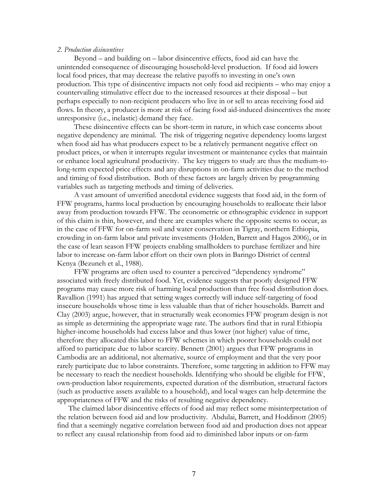#### 2. Production disincentives

Beyond – and building on – labor disincentive effects, food aid can have the unintended consequence of discouraging household-level production. If food aid lowers local food prices, that may decrease the relative payoffs to investing in one's own production. This type of disincentive impacts not only food aid recipients – who may enjoy a countervailing stimulative effect due to the increased resources at their disposal – but perhaps especially to non-recipient producers who live in or sell to areas receiving food aid flows. In theory, a producer is more at risk of facing food aid-induced disincentives the more unresponsive (i.e., inelastic) demand they face.

These disincentive effects can be short-term in nature, in which case concerns about negative dependency are minimal. The risk of triggering negative dependency looms largest when food aid has what producers expect to be a relatively permanent negative effect on product prices, or when it interrupts regular investment or maintenance cycles that maintain or enhance local agricultural productivity. The key triggers to study are thus the medium-tolong-term expected price effects and any disruptions in on-farm activities due to the method and timing of food distribution. Both of these factors are largely driven by programming variables such as targeting methods and timing of deliveries.

A vast amount of unverified anecdotal evidence suggests that food aid, in the form of FFW programs, harms local production by encouraging households to reallocate their labor away from production towards FFW. The econometric or ethnographic evidence in support of this claim is thin, however, and there are examples where the opposite seems to occur, as in the case of FFW for on-farm soil and water conservation in Tigray, northern Ethiopia, crowding in on-farm labor and private investments (Holden, Barrett and Hagos 2006), or in the case of lean season FFW projects enabling smallholders to purchase fertilizer and hire labor to increase on-farm labor effort on their own plots in Baringo District of central Kenya (Bezuneh et al., 1988).

FFW programs are often used to counter a perceived "dependency syndrome" associated with freely distributed food. Yet, evidence suggests that poorly designed FFW programs may cause more risk of harming local production than free food distribution does. Ravallion (1991) has argued that setting wages correctly will induce self-targeting of food insecure households whose time is less valuable than that of richer households. Barrett and Clay (2003) argue, however, that in structurally weak economies FFW program design is not as simple as determining the appropriate wage rate. The authors find that in rural Ethiopia higher-income households had excess labor and thus lower (not higher) value of time, therefore they allocated this labor to FFW schemes in which poorer households could not afford to participate due to labor scarcity. Bennett (2001) argues that FFW programs in Cambodia are an additional, not alternative, source of employment and that the very poor rarely participate due to labor constraints. Therefore, some targeting in addition to FFW may be necessary to reach the neediest households. Identifying who should be eligible for FFW, own-production labor requirements, expected duration of the distribution, structural factors (such as productive assets available to a household), and local wages can help determine the appropriateness of FFW and the risks of resulting negative dependency.

The claimed labor disincentive effects of food aid may reflect some misinterpretation of the relation between food aid and low productivity. Abdulai, Barrett, and Hoddinott (2005) find that a seemingly negative correlation between food aid and production does not appear to reflect any causal relationship from food aid to diminished labor inputs or on-farm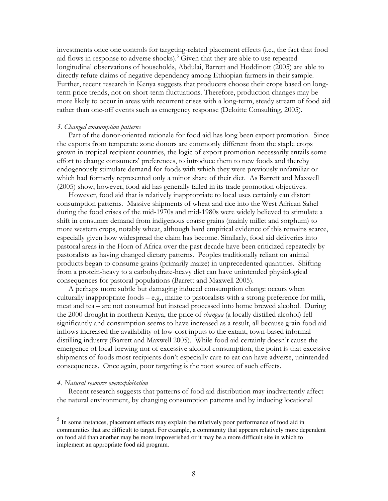investments once one controls for targeting-related placement effects (i.e., the fact that food aid flows in response to adverse shocks).<sup>5</sup> Given that they are able to use repeated longitudinal observations of households, Abdulai, Barrett and Hoddinott (2005) are able to directly refute claims of negative dependency among Ethiopian farmers in their sample. Further, recent research in Kenya suggests that producers choose their crops based on longterm price trends, not on short-term fluctuations. Therefore, production changes may be more likely to occur in areas with recurrent crises with a long-term, steady stream of food aid rather than one-off events such as emergency response (Deloitte Consulting, 2005).

#### 3. Changed consumption patterns

Part of the donor-oriented rationale for food aid has long been export promotion. Since the exports from temperate zone donors are commonly different from the staple crops grown in tropical recipient countries, the logic of export promotion necessarily entails some effort to change consumers' preferences, to introduce them to new foods and thereby endogenously stimulate demand for foods with which they were previously unfamiliar or which had formerly represented only a minor share of their diet. As Barrett and Maxwell (2005) show, however, food aid has generally failed in its trade promotion objectives.

However, food aid that is relatively inappropriate to local uses certainly can distort consumption patterns. Massive shipments of wheat and rice into the West African Sahel during the food crises of the mid-1970s and mid-1980s were widely believed to stimulate a shift in consumer demand from indigenous coarse grains (mainly millet and sorghum) to more western crops, notably wheat, although hard empirical evidence of this remains scarce, especially given how widespread the claim has become. Similarly, food aid deliveries into pastoral areas in the Horn of Africa over the past decade have been criticized repeatedly by pastoralists as having changed dietary patterns. Peoples traditionally reliant on animal products began to consume grains (primarily maize) in unprecedented quantities. Shifting from a protein-heavy to a carbohydrate-heavy diet can have unintended physiological consequences for pastoral populations (Barrett and Maxwell 2005).

A perhaps more subtle but damaging induced consumption change occurs when culturally inappropriate foods – e.g., maize to pastoralists with a strong preference for milk, meat and tea – are not consumed but instead processed into home brewed alcohol. During the 2000 drought in northern Kenya, the price of changaa (a locally distilled alcohol) fell significantly and consumption seems to have increased as a result, all because grain food aid inflows increased the availability of low-cost inputs to the extant, town-based informal distilling industry (Barrett and Maxwell 2005). While food aid certainly doesn't cause the emergence of local brewing nor of excessive alcohol consumption, the point is that excessive shipments of foods most recipients don't especially care to eat can have adverse, unintended consequences. Once again, poor targeting is the root source of such effects.

### 4. Natural resource overexploitation

Recent research suggests that patterns of food aid distribution may inadvertently affect the natural environment, by changing consumption patterns and by inducing locational

<sup>&</sup>lt;sup>5</sup> In some instances, placement effects may explain the relatively poor performance of food aid in communities that are difficult to target. For example, a community that appears relatively more dependent on food aid than another may be more impoverished or it may be a more difficult site in which to implement an appropriate food aid program.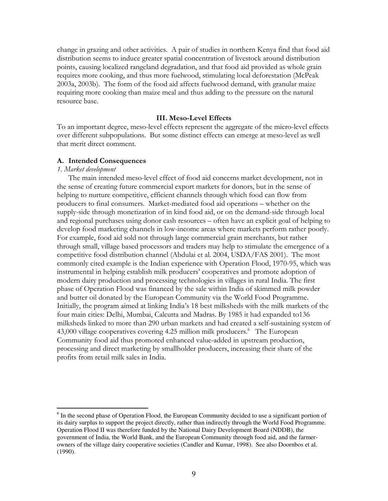change in grazing and other activities. A pair of studies in northern Kenya find that food aid distribution seems to induce greater spatial concentration of livestock around distribution points, causing localized rangeland degradation, and that food aid provided as whole grain requires more cooking, and thus more fuelwood, stimulating local deforestation (McPeak 2003a, 2003b). The form of the food aid affects fuelwood demand, with granular maize requiring more cooking than maize meal and thus adding to the pressure on the natural resource base.

#### III. Meso-Level Effects

To an important degree, meso-level effects represent the aggregate of the micro-level effects over different subpopulations. But some distinct effects can emerge at meso-level as well that merit direct comment.

#### A. Intended Consequences

#### 1. Market development

-

The main intended meso-level effect of food aid concerns market development, not in the sense of creating future commercial export markets for donors, but in the sense of helping to nurture competitive, efficient channels through which food can flow from producers to final consumers. Market-mediated food aid operations – whether on the supply-side through monetization of in kind food aid, or on the demand-side through local and regional purchases using donor cash resources – often have an explicit goal of helping to develop food marketing channels in low-income areas where markets perform rather poorly. For example, food aid sold not through large commercial grain merchants, but rather through small, village based processors and traders may help to stimulate the emergence of a competitive food distribution channel (Abdulai et al. 2004, USDA/FAS 2001). The most commonly cited example is the Indian experience with Operation Flood, 1970-95, which was instrumental in helping establish milk producers' cooperatives and promote adoption of modern dairy production and processing technologies in villages in rural India. The first phase of Operation Flood was financed by the sale within India of skimmed milk powder and butter oil donated by the European Community via the World Food Programme. Initially, the program aimed at linking India's 18 best milksheds with the milk markets of the four main cities: Delhi, Mumbai, Calcutta and Madras. By 1985 it had expanded to136 milksheds linked to more than 290 urban markets and had created a self-sustaining system of 43,000 village cooperatives covering 4.25 million milk producers.<sup>6</sup> The European Community food aid thus promoted enhanced value-added in upstream production, processing and direct marketing by smallholder producers, increasing their share of the profits from retail milk sales in India.

<sup>&</sup>lt;sup>6</sup> In the second phase of Operation Flood, the European Community decided to use a significant portion of its dairy surplus to support the project directly, rather than indirectly through the World Food Programme. Operation Flood II was therefore funded by the National Dairy Development Board (NDDB), the government of India, the World Bank, and the European Community through food aid, and the farmerowners of the village dairy cooperative societies (Candler and Kumar, 1998). See also Doornbos et al. (1990).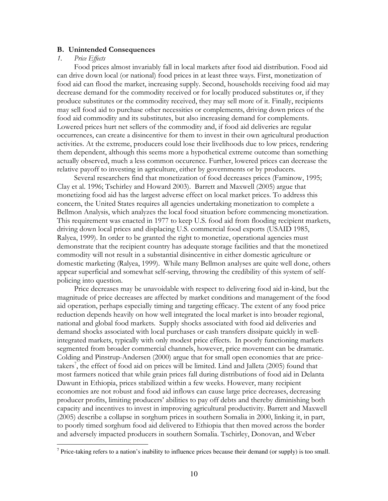#### B. Unintended Consequences

#### 1. Price Effects

-

Food prices almost invariably fall in local markets after food aid distribution. Food aid can drive down local (or national) food prices in at least three ways. First, monetization of food aid can flood the market, increasing supply. Second, households receiving food aid may decrease demand for the commodity received or for locally produced substitutes or, if they produce substitutes or the commodity received, they may sell more of it. Finally, recipients may sell food aid to purchase other necessities or complements, driving down prices of the food aid commodity and its substitutes, but also increasing demand for complements. Lowered prices hurt net sellers of the commodity and, if food aid deliveries are regular occurrences, can create a disincentive for them to invest in their own agricultural production activities. At the extreme, producers could lose their livelihoods due to low prices, rendering them dependent, although this seems more a hypothetical extreme outcome than something actually observed, much a less common occurence. Further, lowered prices can decrease the relative payoff to investing in agriculture, either by governments or by producers.

Several researchers find that monetization of food decreases prices (Faminow, 1995; Clay et al. 1996; Tschirley and Howard 2003). Barrett and Maxwell (2005) argue that monetizing food aid has the largest adverse effect on local market prices. To address this concern, the United States requires all agencies undertaking monetization to complete a Bellmon Analysis, which analyzes the local food situation before commencing monetization. This requirement was enacted in 1977 to keep U.S. food aid from flooding recipient markets, driving down local prices and displacing U.S. commercial food exports (USAID 1985, Ralyea, 1999). In order to be granted the right to monetize, operational agencies must demonstrate that the recipient country has adequate storage facilities and that the monetized commodity will not result in a substantial disincentive in either domestic agriculture or domestic marketing (Ralyea, 1999). While many Bellmon analyses are quite well done, others appear superficial and somewhat self-serving, throwing the credibility of this system of selfpolicing into question.

Price decreases may be unavoidable with respect to delivering food aid in-kind, but the magnitude of price decreases are affected by market conditions and management of the food aid operation, perhaps especially timing and targeting efficacy. The extent of any food price reduction depends heavily on how well integrated the local market is into broader regional, national and global food markets. Supply shocks associated with food aid deliveries and demand shocks associated with local purchases or cash transfers dissipate quickly in wellintegrated markets, typically with only modest price effects. In poorly functioning markets segmented from broader commercial channels, however, price movement can be dramatic. Colding and Pinstrup-Andersen (2000) argue that for small open economies that are pricetakers<sup>7</sup>, the effect of food aid on prices will be limited. Lind and Jalleta (2005) found that most farmers noticed that while grain prices fall during distributions of food aid in Delanta Dawunt in Ethiopia, prices stabilized within a few weeks. However, many recipient economies are not robust and food aid inflows can cause large price decreases, decreasing producer profits, limiting producers' abilities to pay off debts and thereby diminishing both capacity and incentives to invest in improving agricultural productivity. Barrett and Maxwell (2005) describe a collapse in sorghum prices in southern Somalia in 2000, linking it, in part, to poorly timed sorghum food aid delivered to Ethiopia that then moved across the border and adversely impacted producers in southern Somalia. Tschirley, Donovan, and Weber

<sup>&</sup>lt;sup>7</sup> Price-taking refers to a nation's inability to influence prices because their demand (or supply) is too small.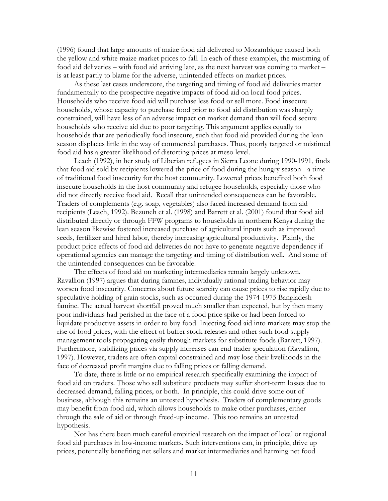(1996) found that large amounts of maize food aid delivered to Mozambique caused both the yellow and white maize market prices to fall. In each of these examples, the mistiming of food aid deliveries – with food aid arriving late, as the next harvest was coming to market – is at least partly to blame for the adverse, unintended effects on market prices.

As these last cases underscore, the targeting and timing of food aid deliveries matter fundamentally to the prospective negative impacts of food aid on local food prices. Households who receive food aid will purchase less food or sell more. Food insecure households, whose capacity to purchase food prior to food aid distribution was sharply constrained, will have less of an adverse impact on market demand than will food secure households who receive aid due to poor targeting. This argument applies equally to households that are periodically food insecure, such that food aid provided during the lean season displaces little in the way of commercial purchases. Thus, poorly targeted or mistimed food aid has a greater likelihood of distorting prices at meso level.

Leach (1992), in her study of Liberian refugees in Sierra Leone during 1990-1991, finds that food aid sold by recipients lowered the price of food during the hungry season - a time of traditional food insecurity for the host community. Lowered prices benefited both food insecure households in the host community and refugee households, especially those who did not directly receive food aid. Recall that unintended consequences can be favorable. Traders of complements (e.g. soap, vegetables) also faced increased demand from aid recipients (Leach, 1992). Bezuneh et al. (1998) and Barrett et al. (2001) found that food aid distributed directly or through FFW programs to households in northern Kenya during the lean season likewise fostered increased purchase of agricultural inputs such as improved seeds, fertilizer and hired labor, thereby increasing agricultural productivity. Plainly, the product price effects of food aid deliveries do not have to generate negative dependency if operational agencies can manage the targeting and timing of distribution well. And some of the unintended consequences can be favorable.

The effects of food aid on marketing intermediaries remain largely unknown. Ravallion (1997) argues that during famines, individually rational trading behavior may worsen food insecurity. Concerns about future scarcity can cause prices to rise rapidly due to speculative holding of grain stocks, such as occurred during the 1974-1975 Bangladesh famine. The actual harvest shortfall proved much smaller than expected, but by then many poor individuals had perished in the face of a food price spike or had been forced to liquidate productive assets in order to buy food. Injecting food aid into markets may stop the rise of food prices, with the effect of buffer stock releases and other such food supply management tools propagating easily through markets for substitute foods (Barrett, 1997). Furthermore, stabilizing prices via supply increases can end trader speculation (Ravallion, 1997). However, traders are often capital constrained and may lose their livelihoods in the face of decreased profit margins due to falling prices or falling demand.

To date, there is little or no empirical research specifically examining the impact of food aid on traders. Those who sell substitute products may suffer short-term losses due to decreased demand, falling prices, or both. In principle, this could drive some out of business, although this remains an untested hypothesis. Traders of complementary goods may benefit from food aid, which allows households to make other purchases, either through the sale of aid or through freed-up income. This too remains an untested hypothesis.

Nor has there been much careful empirical research on the impact of local or regional food aid purchases in low-income markets. Such interventions can, in principle, drive up prices, potentially benefiting net sellers and market intermediaries and harming net food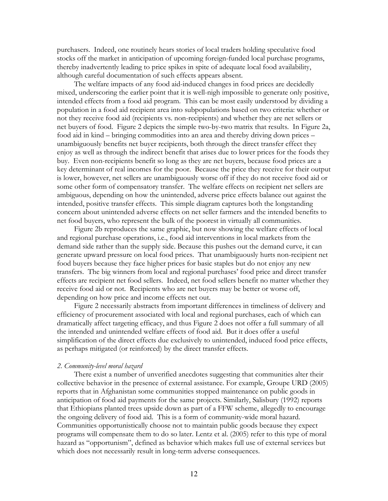purchasers. Indeed, one routinely hears stories of local traders holding speculative food stocks off the market in anticipation of upcoming foreign-funded local purchase programs, thereby inadvertently leading to price spikes in spite of adequate local food availability, although careful documentation of such effects appears absent.

The welfare impacts of any food aid-induced changes in food prices are decidedly mixed, underscoring the earlier point that it is well-nigh impossible to generate only positive, intended effects from a food aid program. This can be most easily understood by dividing a population in a food aid recipient area into subpopulations based on two criteria: whether or not they receive food aid (recipients vs. non-recipients) and whether they are net sellers or net buyers of food. Figure 2 depicts the simple two-by-two matrix that results. In Figure 2a, food aid in kind – bringing commodities into an area and thereby driving down prices – unambiguously benefits net buyer recipients, both through the direct transfer effect they enjoy as well as through the indirect benefit that arises due to lower prices for the foods they buy. Even non-recipients benefit so long as they are net buyers, because food prices are a key determinant of real incomes for the poor. Because the price they receive for their output is lower, however, net sellers are unambiguously worse off if they do not receive food aid or some other form of compensatory transfer. The welfare effects on recipient net sellers are ambiguous, depending on how the unintended, adverse price effects balance out against the intended, positive transfer effects. This simple diagram captures both the longstanding concern about unintended adverse effects on net seller farmers and the intended benefits to net food buyers, who represent the bulk of the poorest in virtually all communities.

Figure 2b reproduces the same graphic, but now showing the welfare effects of local and regional purchase operations, i.e., food aid interventions in local markets from the demand side rather than the supply side. Because this pushes out the demand curve, it can generate upward pressure on local food prices. That unambiguously hurts non-recipient net food buyers because they face higher prices for basic staples but do not enjoy any new transfers. The big winners from local and regional purchases' food price and direct transfer effects are recipient net food sellers. Indeed, net food sellers benefit no matter whether they receive food aid or not. Recipients who are net buyers may be better or worse off, depending on how price and income effects net out.

Figure 2 necessarily abstracts from important differences in timeliness of delivery and efficiency of procurement associated with local and regional purchases, each of which can dramatically affect targeting efficacy, and thus Figure 2 does not offer a full summary of all the intended and unintended welfare effects of food aid. But it does offer a useful simplification of the direct effects due exclusively to unintended, induced food price effects, as perhaps mitigated (or reinforced) by the direct transfer effects.

#### 2. Community-level moral hazard

There exist a number of unverified anecdotes suggesting that communities alter their collective behavior in the presence of external assistance. For example, Groupe URD (2005) reports that in Afghanistan some communities stopped maintenance on public goods in anticipation of food aid payments for the same projects. Similarly, Salisbury (1992) reports that Ethiopians planted trees upside down as part of a FFW scheme, allegedly to encourage the ongoing delivery of food aid. This is a form of community-wide moral hazard. Communities opportunistically choose not to maintain public goods because they expect programs will compensate them to do so later. Lentz et al. (2005) refer to this type of moral hazard as "opportunism", defined as behavior which makes full use of external services but which does not necessarily result in long-term adverse consequences.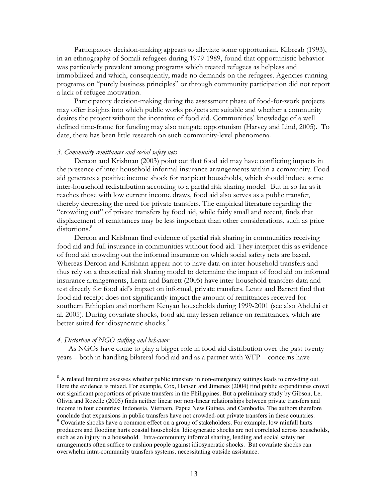Participatory decision-making appears to alleviate some opportunism. Kibreab (1993), in an ethnography of Somali refugees during 1979-1989, found that opportunistic behavior was particularly prevalent among programs which treated refugees as helpless and immobilized and which, consequently, made no demands on the refugees. Agencies running programs on "purely business principles" or through community participation did not report a lack of refugee motivation.

Participatory decision-making during the assessment phase of food-for-work projects may offer insights into which public works projects are suitable and whether a community desires the project without the incentive of food aid. Communities' knowledge of a well defined time-frame for funding may also mitigate opportunism (Harvey and Lind, 2005). To date, there has been little research on such community-level phenomena.

#### 3. Community remittances and social safety nets

Dercon and Krishnan (2003) point out that food aid may have conflicting impacts in the presence of inter-household informal insurance arrangements within a community. Food aid generates a positive income shock for recipient households, which should induce some inter-household redistribution according to a partial risk sharing model. But in so far as it reaches those with low current income draws, food aid also serves as a public transfer, thereby decreasing the need for private transfers. The empirical literature regarding the "crowding out" of private transfers by food aid, while fairly small and recent, finds that displacement of remittances may be less important than other considerations, such as price distortions.<sup>8</sup>

Dercon and Krishnan find evidence of partial risk sharing in communities receiving food aid and full insurance in communities without food aid. They interpret this as evidence of food aid crowding out the informal insurance on which social safety nets are based. Whereas Dercon and Krishnan appear not to have data on inter-household transfers and thus rely on a theoretical risk sharing model to determine the impact of food aid on informal insurance arrangements, Lentz and Barrett (2005) have inter-household transfers data and test directly for food aid's impact on informal, private transfers. Lentz and Barrett find that food aid receipt does not significantly impact the amount of remittances received for southern Ethiopian and northern Kenyan households during 1999-2001 (see also Abdulai et al. 2005). During covariate shocks, food aid may lessen reliance on remittances, which are better suited for idiosyncratic shocks.<sup>9</sup>

#### 4. Distortion of NGO staffing and behavior

As NGOs have come to play a bigger role in food aid distribution over the past twenty years – both in handling bilateral food aid and as a partner with WFP – concerns have

<sup>&</sup>lt;sup>8</sup> A related literature assesses whether public transfers in non-emergency settings leads to crowding out. Here the evidence is mixed. For example, Cox, Hansen and Jimenez (2004) find public expenditures crowd out significant proportions of private transfers in the Philippines. But a preliminary study by Gibson, Le, Olivia and Rozelle (2005) finds neither linear nor non-linear relationships between private transfers and income in four countries: Indonesia, Vietnam, Papua New Guinea, and Cambodia. The authors therefore conclude that expansions in public transfers have not crowded-out private transfers in these countries. <sup>9</sup> Covariate shocks have a common effect on a group of stakeholders. For example, low rainfall hurts producers and flooding hurts coastal households. Idiosyncratic shocks are not correlated across households, such as an injury in a household. Intra-community informal sharing, lending and social safety net arrangements often suffice to cushion people against idiosyncratic shocks. But covariate shocks can overwhelm intra-community transfers systems, necessitating outside assistance.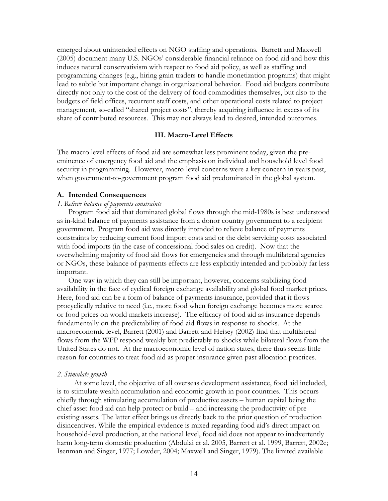emerged about unintended effects on NGO staffing and operations. Barrett and Maxwell (2005) document many U.S. NGOs' considerable financial reliance on food aid and how this induces natural conservativism with respect to food aid policy, as well as staffing and programming changes (e.g., hiring grain traders to handle monetization programs) that might lead to subtle but important change in organizational behavior. Food aid budgets contribute directly not only to the cost of the delivery of food commodities themselves, but also to the budgets of field offices, recurrent staff costs, and other operational costs related to project management, so-called "shared project costs", thereby acquiring influence in excess of its share of contributed resources. This may not always lead to desired, intended outcomes.

#### III. Macro-Level Effects

The macro level effects of food aid are somewhat less prominent today, given the preeminence of emergency food aid and the emphasis on individual and household level food security in programming. However, macro-level concerns were a key concern in years past, when government-to-government program food aid predominated in the global system.

#### A. Intended Consequences

#### 1. Relieve balance of payments constraints

Program food aid that dominated global flows through the mid-1980s is best understood as in-kind balance of payments assistance from a donor country government to a recipient government. Program food aid was directly intended to relieve balance of payments constraints by reducing current food import costs and or the debt servicing costs associated with food imports (in the case of concessional food sales on credit). Now that the overwhelming majority of food aid flows for emergencies and through multilateral agencies or NGOs, these balance of payments effects are less explicitly intended and probably far less important.

One way in which they can still be important, however, concerns stabilizing food availability in the face of cyclical foreign exchange availability and global food market prices. Here, food aid can be a form of balance of payments insurance, provided that it flows procyclically relative to need (i.e., more food when foreign exchange becomes more scarce or food prices on world markets increase). The efficacy of food aid as insurance depends fundamentally on the predictability of food aid flows in response to shocks. At the macroeconomic level, Barrett (2001) and Barrett and Heisey (2002) find that multilateral flows from the WFP respond weakly but predictably to shocks while bilateral flows from the United States do not. At the macroeconomic level of nation states, there thus seems little reason for countries to treat food aid as proper insurance given past allocation practices.

#### 2. Stimulate growth

At some level, the objective of all overseas development assistance, food aid included, is to stimulate wealth accumulation and economic growth in poor countries. This occurs chiefly through stimulating accumulation of productive assets – human capital being the chief asset food aid can help protect or build – and increasing the productivity of preexisting assets. The latter effect brings us directly back to the prior question of production disincentives. While the empirical evidence is mixed regarding food aid's direct impact on household-level production, at the national level, food aid does not appear to inadvertently harm long-term domestic production (Abdulai et al. 2005, Barrett et al. 1999, Barrett, 2002c; Isenman and Singer, 1977; Lowder, 2004; Maxwell and Singer, 1979). The limited available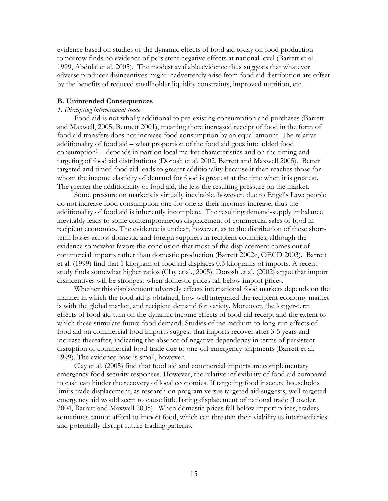evidence based on studies of the dynamic effects of food aid today on food production tomorrow finds no evidence of persistent negative effects at national level (Barrett et al. 1999, Abdulai et al. 2005). The modest available evidence thus suggests that whatever adverse producer disincentives might inadvertently arise from food aid distribution are offset by the benefits of reduced smallholder liquidity constraints, improved nutrition, etc.

#### B. Unintended Consequences

#### 1. Disrupting international trade

Food aid is not wholly additional to pre-existing consumption and purchases (Barrett and Maxwell, 2005; Bennett 2001), meaning there increased receipt of food in the form of food aid transfers does not increase food consumption by an equal amount. The relative additionality of food aid – what proportion of the food aid goes into added food consumption? – depends in part on local market characteristics and on the timing and targeting of food aid distributions (Dorosh et al. 2002, Barrett and Maxwell 2005). Better targeted and timed food aid leads to greater additionality because it then reaches those for whom the income elasticity of demand for food is greatest at the time when it is greatest. The greater the additionality of food aid, the less the resulting pressure on the market.

Some pressure on markets is virtually inevitable, however, due to Engel's Law: people do not increase food consumption one-for-one as their incomes increase, thus the additionality of food aid is inherently incomplete. The resulting demand-supply imbalance inevitably leads to some contemporaneous displacement of commercial sales of food in recipient economies. The evidence is unclear, however, as to the distribution of these shortterm losses across domestic and foreign suppliers in recipient countries, although the evidence somewhat favors the conclusion that most of the displacement comes out of commercial imports rather than domestic production (Barrett 2002c, OECD 2003). Barrett et al. (1999) find that 1 kilogram of food aid displaces 0.3 kilograms of imports. A recent study finds somewhat higher ratios (Clay et al., 2005). Dorosh et al. (2002) argue that import disincentives will be strongest when domestic prices fall below import prices.

Whether this displacement adversely effects international food markets depends on the manner in which the food aid is obtained, how well integrated the recipient economy market is with the global market, and recipient demand for variety. Moreover, the longer-term effects of food aid turn on the dynamic income effects of food aid receipt and the extent to which these stimulate future food demand. Studies of the medium-to-long-run effects of food aid on commercial food imports suggest that imports recover after 3-5 years and increase thereafter, indicating the absence of negative dependency in terms of persistent disruption of commercial food trade due to one-off emergency shipments (Barrett et al. 1999). The evidence base is small, however.

Clay et al. (2005) find that food aid and commercial imports are complementary emergency food security responses. However, the relative inflexibility of food aid compared to cash can hinder the recovery of local economies. If targeting food insecure households limits trade displacement, as research on program versus targeted aid suggests, well-targeted emergency aid would seem to cause little lasting displacement of national trade (Lowder, 2004, Barrett and Maxwell 2005). When domestic prices fall below import prices, traders sometimes cannot afford to import food, which can threaten their viability as intermediaries and potentially disrupt future trading patterns.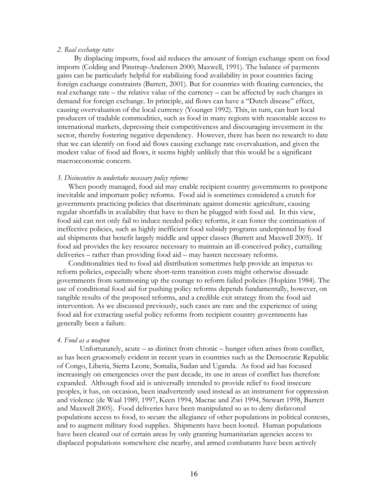#### 2. Real exchange rates

By displacing imports, food aid reduces the amount of foreign exchange spent on food imports (Colding and Pinstrup-Andersen 2000; Maxwell, 1991). The balance of payments gains can be particularly helpful for stabilizing food availability in poor countries facing foreign exchange constraints (Barrett, 2001). But for countries with floating currencies, the real exchange rate – the relative value of the currency – can be affected by such changes in demand for foreign exchange. In principle, aid flows can have a "Dutch disease" effect, causing overvaluation of the local currency (Younger 1992). This, in turn, can hurt local producers of tradable commodities, such as food in many regions with reasonable access to international markets, depressing their competitiveness and discouraging investment in the sector, thereby fostering negative dependency. However, there has been no research to date that we can identify on food aid flows causing exchange rate overvaluation, and given the modest value of food aid flows, it seems highly unlikely that this would be a significant macroeconomic concern.

#### 3. Disincentive to undertake necessary policy reforms

When poorly managed, food aid may enable recipient country governments to postpone inevitable and important policy reforms. Food aid is sometimes considered a crutch for governments practicing policies that discriminate against domestic agriculture, causing regular shortfalls in availability that have to then be plugged with food aid. In this view, food aid can not only fail to induce needed policy reforms, it can foster the continuation of ineffective policies, such as highly inefficient food subsidy programs underpinned by food aid shipments that benefit largely middle and upper classes (Barrett and Maxwell 2005). If food aid provides the key resource necessary to maintain an ill-conceived policy, curtailing deliveries – rather than providing food aid – may hasten necessary reforms.

Conditionalities tied to food aid distribution sometimes help provide an impetus to reform policies, especially where short-term transition costs might otherwise dissuade governments from summoning up the courage to reform failed policies (Hopkins 1984). The use of conditional food aid for pushing policy reforms depends fundamentally, however, on tangible results of the proposed reforms, and a credible exit strategy from the food aid intervention. As we discussed previously, such cases are rare and the experience of using food aid for extracting useful policy reforms from recipient country governments has generally been a failure.

#### 4. Food as a weapon

 Unfortunately, acute – as distinct from chronic – hunger often arises from conflict, as has been gruesomely evident in recent years in countries such as the Democratic Republic of Congo, Liberia, Sierra Leone, Somalia, Sudan and Uganda. As food aid has focused increasingly on emergencies over the past decade, its use in areas of conflict has therefore expanded. Although food aid is universally intended to provide relief to food insecure peoples, it has, on occasion, been inadvertently used instead as an instrument for oppression and violence (de Waal 1989, 1997, Keen 1994, Macrae and Zwi 1994, Stewart 1998, Barrett and Maxwell 2005). Food deliveries have been manipulated so as to deny disfavored populations access to food, to secure the allegiance of other populations in political contests, and to augment military food supplies. Shipments have been looted. Human populations have been cleared out of certain areas by only granting humanitarian agencies access to displaced populations somewhere else nearby, and armed combatants have been actively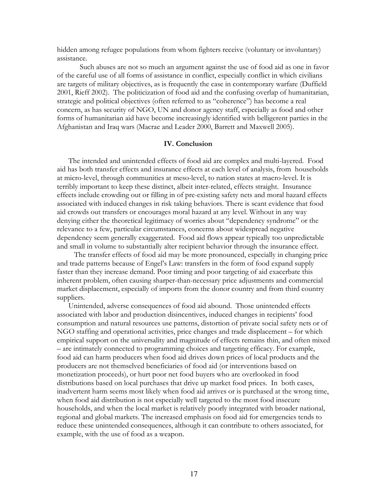hidden among refugee populations from whom fighters receive (voluntary or involuntary) assistance.

Such abuses are not so much an argument against the use of food aid as one in favor of the careful use of all forms of assistance in conflict, especially conflict in which civilians are targets of military objectives, as is frequently the case in contemporary warfare (Duffield 2001, Rieff 2002). The politicization of food aid and the confusing overlap of humanitarian, strategic and political objectives (often referred to as "coherence") has become a real concern, as has security of NGO, UN and donor agency staff, especially as food and other forms of humanitarian aid have become increasingly identified with belligerent parties in the Afghanistan and Iraq wars (Macrae and Leader 2000, Barrett and Maxwell 2005).

#### IV. Conclusion

The intended and unintended effects of food aid are complex and multi-layered. Food aid has both transfer effects and insurance effects at each level of analysis, from households at micro-level, through communities at meso-level, to nation states at macro-level. It is terribly important to keep these distinct, albeit inter-related, effects straight. Insurance effects include crowding out or filling in of pre-existing safety nets and moral hazard effects associated with induced changes in risk taking behaviors. There is scant evidence that food aid crowds out transfers or encourages moral hazard at any level. Without in any way denying either the theoretical legitimacy of worries about "dependency syndrome" or the relevance to a few, particular circumstances, concerns about widespread negative dependency seem generally exaggerated. Food aid flows appear typically too unpredictable and small in volume to substantially alter recipient behavior through the insurance effect.

The transfer effects of food aid may be more pronounced, especially in changing price and trade patterns because of Engel's Law: transfers in the form of food expand supply faster than they increase demand. Poor timing and poor targeting of aid exacerbate this inherent problem, often causing sharper-than-necessary price adjustments and commercial market displacement, especially of imports from the donor country and from third country suppliers.

Unintended, adverse consequences of food aid abound. Those unintended effects associated with labor and production disincentives, induced changes in recipients' food consumption and natural resources use patterns, distortion of private social safety nets or of NGO staffing and operational activities, price changes and trade displacement – for which empirical support on the universality and magnitude of effects remains thin, and often mixed – are intimately connected to programming choices and targeting efficacy. For example, food aid can harm producers when food aid drives down prices of local products and the producers are not themselved beneficiaries of food aid (or interventions based on monetization proceeds), or hurt poor net food buyers who are overlooked in food distributions based on local purchases that drive up market food prices. In both cases, inadvertent harm seems most likely when food aid arrives or is purchased at the wrong time, when food aid distribution is not especially well targeted to the most food insecure households, and when the local market is relatively poorly integrated with broader national, regional and global markets. The increased emphasis on food aid for emergencies tends to reduce these unintended consequences, although it can contribute to others associated, for example, with the use of food as a weapon.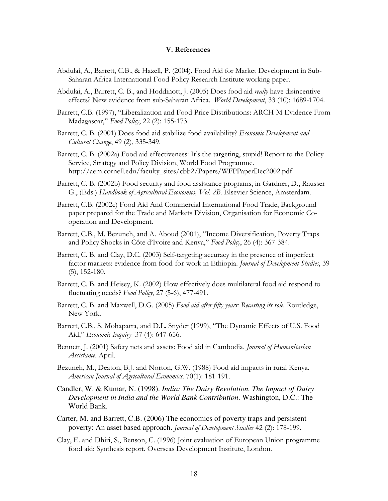#### V. References

- Abdulai, A., Barrett, C.B., & Hazell, P. (2004). Food Aid for Market Development in Sub-Saharan Africa International Food Policy Research Institute working paper.
- Abdulai, A., Barrett, C. B., and Hoddinott, J. (2005) Does food aid *really* have disincentive effects? New evidence from sub-Saharan Africa. World Development, 33 (10): 1689-1704.
- Barrett, C.B. (1997), "Liberalization and Food Price Distributions: ARCH-M Evidence From Madagascar," Food Policy, 22 (2): 155-173.
- Barrett, C. B. (2001) Does food aid stabilize food availability? Economic Development and Cultural Change, 49 (2), 335-349.
- Barrett, C. B. (2002a) Food aid effectiveness: It's the targeting, stupid! Report to the Policy Service, Strategy and Policy Division, World Food Programme. http://aem.cornell.edu/faculty\_sites/cbb2/Papers/WFPPaperDec2002.pdf
- Barrett, C. B. (2002b) Food security and food assistance programs, in Gardner, D., Rausser G., (Eds.) Handbook of Agricultural Economics, Vol. 2B. Elsevier Science, Amsterdam.
- Barrett, C.B. (2002c) Food Aid And Commercial International Food Trade, Background paper prepared for the Trade and Markets Division, Organisation for Economic Cooperation and Development.
- Barrett, C.B., M. Bezuneh, and A. Aboud (2001), "Income Diversification, Poverty Traps and Policy Shocks in Côte d'Ivoire and Kenya," Food Policy, 26 (4): 367-384.
- Barrett, C. B. and Clay, D.C. (2003) Self-targeting accuracy in the presence of imperfect factor markets: evidence from food-for-work in Ethiopia. Journal of Development Studies, 39 (5), 152-180.
- Barrett, C. B. and Heisey, K. (2002) How effectively does multilateral food aid respond to fluctuating needs? Food Policy, 27 (5-6), 477-491.
- Barrett, C. B. and Maxwell, D.G. (2005) Food aid after fifty years: Recasting its role. Routledge, New York.
- Barrett, C.B., S. Mohapatra, and D.L. Snyder (1999), "The Dynamic Effects of U.S. Food Aid," Economic Inquiry 37 (4): 647-656.
- Bennett, J. (2001) Safety nets and assets: Food aid in Cambodia. *Journal of Humanitarian* Assistance. April.
- Bezuneh, M., Deaton, B.J. and Norton, G.W. (1988) Food aid impacts in rural Kenya. American Journal of Agricultural Economics. 70(1): 181-191.
- Candler, W. & Kumar, N. (1998). *India: The Dairy Revolution. The Impact of Dairy Development in India and the World Bank Contribution*. Washington, D.C.: The World Bank.
- Carter, M. and Barrett, C.B. (2006) The economics of poverty traps and persistent poverty: An asset based approach. Journal of Development Studies 42 (2): 178-199.
- Clay, E. and Dhiri, S., Benson, C. (1996) Joint evaluation of European Union programme food aid: Synthesis report. Overseas Development Institute, London.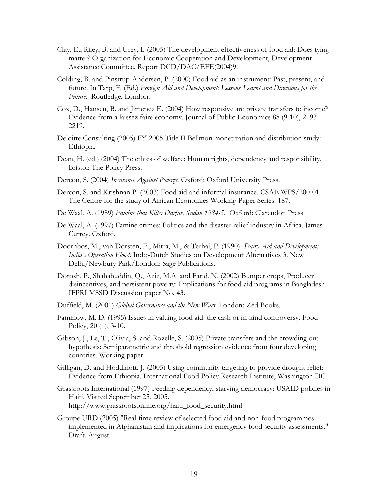- Clay, E., Riley, B. and Urey, I. (2005) The development effectiveness of food aid: Does tying matter? Organization for Economic Cooperation and Development, Development Assistance Committee. Report DCD/DAC/EFE(2004)9.
- Colding, B. and Pinstrup-Andersen, P. (2000) Food aid as an instrument: Past, present, and future. In Tarp, F. (Ed.) Foreign Aid and Development: Lessons Learnt and Directions for the Future. Routledge, London.
- Cox, D., Hansen, B. and Jimenez E. (2004) How responsive are private transfers to income? Evidence from a laissez faire economy. Journal of Public Economics 88 (9-10), 2193- 2219.
- Deloitte Consulting (2005) FY 2005 Title II Bellmon monetization and distribution study: Ethiopia.
- Dean, H. (ed.) (2004) The ethics of welfare: Human rights, dependency and responsibility. Bristol: The Policy Press.
- Dercon, S. (2004) Insurance Against Poverty. Oxford: Oxford University Press.
- Dercon, S. and Krishnan P. (2003) Food aid and informal insurance. CSAE WPS/200-01. The Centre for the study of African Economies Working Paper Series. 187.
- De Waal, A. (1989) Famine that Kills: Darfur, Sudan 1984-5. Oxford: Clarendon Press.
- De Waal, A. (1997) Famine crimes: Politics and the disaster relief industry in Africa. James Currey. Oxford.
- Doornbos, M., van Dorsten, F., Mitra, M., & Terhal, P. (1990). Dairy Aid and Development: India's Operation Flood. Indo-Dutch Studies on Development Alternatives 3. New Delhi/Newbury Park/London: Sage Publications.
- Dorosh, P., Shahabuddin, Q., Aziz, M.A. and Farid, N. (2002) Bumper crops, Producer disincentives, and persistent poverty: Implications for food aid programs in Bangladesh. IFPRI MSSD Discussion paper No. 43.
- Duffield, M. (2001) Global Governance and the New Wars. London: Zed Books.
- Faminow, M. D. (1995) Issues in valuing food aid: the cash or in-kind controversy. Food Policy, 20 (1), 3-10.
- Gibson, J., Le, T., Olivia, S. and Rozelle, S. (2005) Private transfers and the crowding out hypothesis: Semiparametric and threshold regression evidence from four developing countries. Working paper.
- Gilligan, D. and Hoddinott, J. (2005) Using community targeting to provide drought relief: Evidence from Ethiopia. International Food Policy Research Institute, Washington DC.
- Grassroots International (1997) Feeding dependency, starving democracy: USAID policies in Haiti. Visited September 25, 2005. http://www.grassrootsonline.org/haiti\_food\_security.html
- Groupe URD (2005) "Real-time review of selected food aid and non-food programmes implemented in Afghanistan and implications for emergency food security assessments." Draft. August.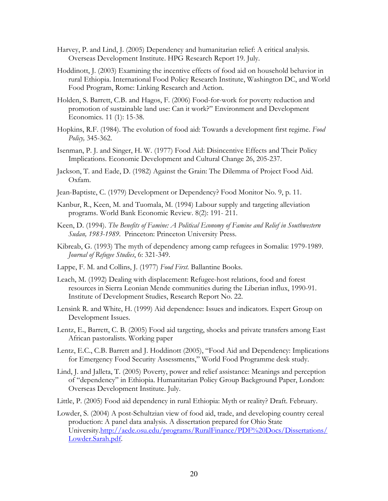- Harvey, P. and Lind, J. (2005) Dependency and humanitarian relief: A critical analysis. Overseas Development Institute. HPG Research Report 19. July.
- Hoddinott, J. (2003) Examining the incentive effects of food aid on household behavior in rural Ethiopia. International Food Policy Research Institute, Washington DC, and World Food Program, Rome: Linking Research and Action.
- Holden, S. Barrett, C.B. and Hagos, F. (2006) Food-for-work for poverty reduction and promotion of sustainable land use: Can it work?" Environment and Development Economics. 11 (1): 15-38.
- Hopkins, R.F. (1984). The evolution of food aid: Towards a development first regime. Food Policy, 345-362.
- Isenman, P. J. and Singer, H. W. (1977) Food Aid: Disincentive Effects and Their Policy Implications. Economic Development and Cultural Change 26, 205-237.
- Jackson, T. and Eade, D. (1982) Against the Grain: The Dilemma of Project Food Aid. Oxfam.
- Jean-Baptiste, C. (1979) Development or Dependency? Food Monitor No. 9, p. 11.
- Kanbur, R., Keen, M. and Tuomala, M. (1994) Labour supply and targeting alleviation programs. World Bank Economic Review. 8(2): 191- 211.
- Keen, D. (1994). The Benefits of Famine: A Political Economy of Famine and Relief in Southwestern Sudan, 1983-1989. Princeton: Princeton University Press.
- Kibreab, G. (1993) The myth of dependency among camp refugees in Somalia: 1979-1989. Journal of Refugee Studies, 6: 321-349.
- Lappe, F. M. and Collins, J. (1977) Food First. Ballantine Books.
- Leach, M. (1992) Dealing with displacement: Refugee-host relations, food and forest resources in Sierra Leonian Mende communities during the Liberian influx, 1990-91. Institute of Development Studies, Research Report No. 22.
- Lensink R. and White, H. (1999) Aid dependence: Issues and indicators. Expert Group on Development Issues.
- Lentz, E., Barrett, C. B. (2005) Food aid targeting, shocks and private transfers among East African pastoralists. Working paper
- Lentz, E.C., C.B. Barrett and J. Hoddinott (2005), "Food Aid and Dependency: Implications for Emergency Food Security Assessments," World Food Programme desk study.
- Lind, J. and Jalleta, T. (2005) Poverty, power and relief assistance: Meanings and perception of "dependency" in Ethiopia. Humanitarian Policy Group Background Paper, London: Overseas Development Institute. July.
- Little, P. (2005) Food aid dependency in rural Ethiopia: Myth or reality? Draft. February.
- Lowder, S. (2004) A post-Schultzian view of food aid, trade, and developing country cereal production: A panel data analysis. A dissertation prepared for Ohio State University.http://aede.osu.edu/programs/RuralFinance/PDF%20Docs/Dissertations/ Lowder.Sarah.pdf.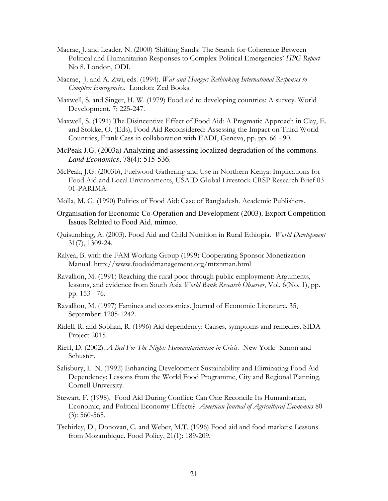- Macrae, J. and Leader, N. (2000) 'Shifting Sands: The Search for Coherence Between Political and Humanitarian Responses to Complex Political Emergencies' HPG Report No 8. London, ODI.
- Macrae, J. and A. Zwi, eds. (1994). War and Hunger: Rethinking International Responses to Complex Emergencies. London: Zed Books.
- Maxwell, S. and Singer, H. W. (1979) Food aid to developing countries: A survey. World Development. 7: 225-247.
- Maxwell, S. (1991) The Disincentive Effect of Food Aid: A Pragmatic Approach in Clay, E. and Stokke, O. (Eds), Food Aid Reconsidered: Assessing the Impact on Third World Countries, Frank Cass in collaboration with EADI, Geneva, pp. pp. 66 - 90.
- McPeak J.G. (2003a) Analyzing and assessing localized degradation of the commons. *Land Economics*, 78(4): 515-536.
- McPeak, J.G. (2003b), Fuelwood Gathering and Use in Northern Kenya: Implications for Food Aid and Local Environments, USAID Global Livestock CRSP Research Brief 03- 01-PARIMA.
- Molla, M. G. (1990) Politics of Food Aid: Case of Bangladesh. Academic Publishers.
- Organisation for Economic Co-Operation and Development (2003). Export Competition Issues Related to Food Aid, mimeo.
- Quisumbing, A. (2003). Food Aid and Child Nutrition in Rural Ethiopia. World Development 31(7), 1309-24.
- Ralyea, B. with the FAM Working Group (1999) Cooperating Sponsor Monetization Manual. http://www.foodaidmanagement.org/mtznman.html
- Ravallion, M. (1991) Reaching the rural poor through public employment: Arguments, lessons, and evidence from South Asia World Bank Research Observer, Vol. 6(No. 1), pp. pp. 153 - 76.
- Ravallion, M. (1997) Famines and economics. Journal of Economic Literature. 35, September: 1205-1242.
- Ridell, R. and Sobhan, R. (1996) Aid dependency: Causes, symptoms and remedies. SIDA Project 2015.
- Rieff, D. (2002). A Bed For The Night: Humanitarianism in Crisis. New York: Simon and Schuster.
- Salisbury, L. N. (1992) Enhancing Development Sustainability and Eliminating Food Aid Dependency: Lessons from the World Food Programme, City and Regional Planning, Cornell University.
- Stewart, F. (1998). Food Aid During Conflict: Can One Reconcile Its Humanitarian, Economic, and Political Economy Effects? American Journal of Agricultural Economics 80 (3): 560-565.
- Tschirley, D., Donovan, C. and Weber, M.T. (1996) Food aid and food markets: Lessons from Mozambique. Food Policy, 21(1): 189-209.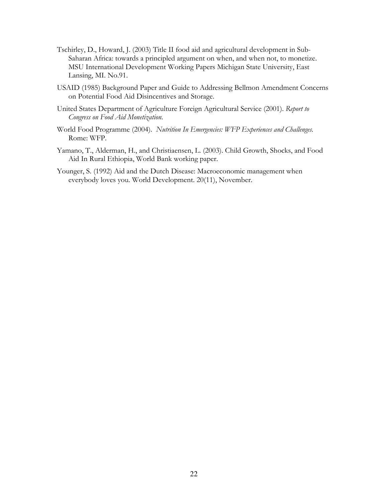- Tschirley, D., Howard, J. (2003) Title II food aid and agricultural development in Sub-Saharan Africa: towards a principled argument on when, and when not, to monetize. MSU International Development Working Papers Michigan State University, East Lansing, MI. No.91.
- USAID (1985) Background Paper and Guide to Addressing Bellmon Amendment Concerns on Potential Food Aid Disincentives and Storage.
- United States Department of Agriculture Foreign Agricultural Service (2001). Report to Congress on Food Aid Monetization.
- World Food Programme (2004). Nutrition In Emergencies: WFP Experiences and Challenges. Rome: WFP.
- Yamano, T., Alderman, H., and Christiaensen, L. (2003). Child Growth, Shocks, and Food Aid In Rural Ethiopia, World Bank working paper.
- Younger, S. (1992) Aid and the Dutch Disease: Macroeconomic management when everybody loves you. World Development. 20(11), November.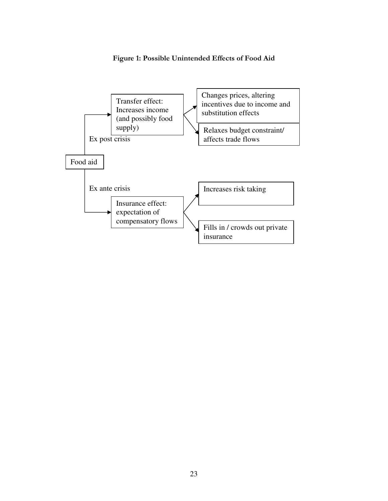## Figure 1: Possible Unintended Effects of Food Aid

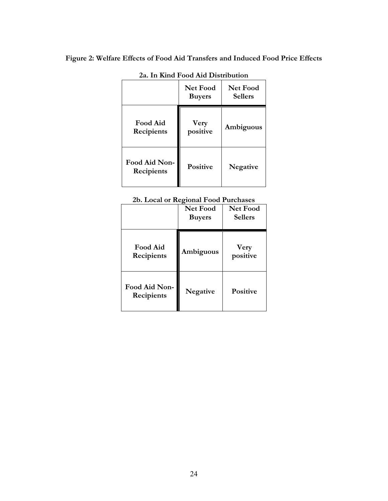# Figure 2: Welfare Effects of Food Aid Transfers and Induced Food Price Effects

| <u>iving I you mu Distribution</u> |                           |                                   |  |
|------------------------------------|---------------------------|-----------------------------------|--|
|                                    | Net Food<br><b>Buyers</b> | <b>Net Food</b><br><b>Sellers</b> |  |
| <b>Food Aid</b><br>Recipients      | <b>Very</b><br>positive   | Ambiguous                         |  |
| Food Aid Non-<br>Recipients        | <b>Positive</b>           | Negative                          |  |

2a. In Kind Food Aid Distribution

2b. Local or Regional Food Purchases

|                               | o<br><b>Net Food</b><br><b>Buyers</b> | <b>Net Food</b><br><b>Sellers</b> |
|-------------------------------|---------------------------------------|-----------------------------------|
| <b>Food Aid</b><br>Recipients | Ambiguous                             | Very<br>positive                  |
| Food Aid Non-<br>Recipients   | <b>Negative</b>                       | <b>Positive</b>                   |